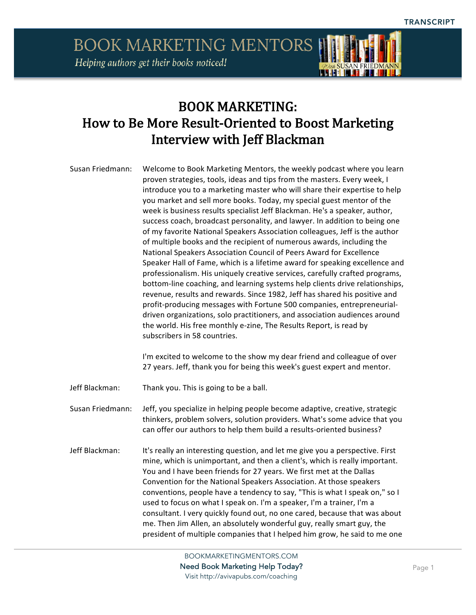

Susan Friedmann: Welcome to Book Marketing Mentors, the weekly podcast where you learn proven strategies, tools, ideas and tips from the masters. Every week, I introduce you to a marketing master who will share their expertise to help you market and sell more books. Today, my special guest mentor of the week is business results specialist Jeff Blackman. He's a speaker, author, success coach, broadcast personality, and lawyer. In addition to being one of my favorite National Speakers Association colleagues, Jeff is the author of multiple books and the recipient of numerous awards, including the National Speakers Association Council of Peers Award for Excellence Speaker Hall of Fame, which is a lifetime award for speaking excellence and professionalism. His uniquely creative services, carefully crafted programs, bottom-line coaching, and learning systems help clients drive relationships, revenue, results and rewards. Since 1982, Jeff has shared his positive and profit-producing messages with Fortune 500 companies, entrepreneurialdriven organizations, solo practitioners, and association audiences around the world. His free monthly e-zine, The Results Report, is read by subscribers in 58 countries.

> I'm excited to welcome to the show my dear friend and colleague of over 27 years. Jeff, thank you for being this week's guest expert and mentor.

Jeff Blackman: Thank you. This is going to be a ball.

Susan Friedmann: Jeff, you specialize in helping people become adaptive, creative, strategic thinkers, problem solvers, solution providers. What's some advice that you can offer our authors to help them build a results-oriented business?

Jeff Blackman: It's really an interesting question, and let me give you a perspective. First mine, which is unimportant, and then a client's, which is really important. You and I have been friends for 27 years. We first met at the Dallas Convention for the National Speakers Association. At those speakers conventions, people have a tendency to say, "This is what I speak on," so I used to focus on what I speak on. I'm a speaker, I'm a trainer, I'm a consultant. I very quickly found out, no one cared, because that was about me. Then Jim Allen, an absolutely wonderful guy, really smart guy, the president of multiple companies that I helped him grow, he said to me one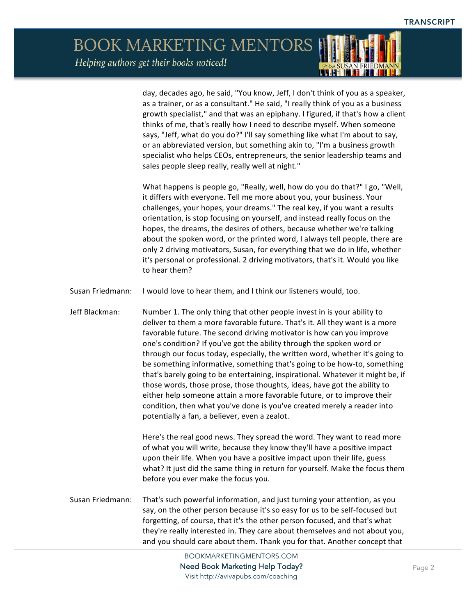> day, decades ago, he said, "You know, Jeff, I don't think of you as a speaker, as a trainer, or as a consultant." He said, "I really think of you as a business growth specialist," and that was an epiphany. I figured, if that's how a client thinks of me, that's really how I need to describe myself. When someone says, "Jeff, what do you do?" I'll say something like what I'm about to say, or an abbreviated version, but something akin to, "I'm a business growth specialist who helps CEOs, entrepreneurs, the senior leadership teams and sales people sleep really, really well at night."

L CHELLET

What happens is people go, "Really, well, how do you do that?" I go, "Well, it differs with everyone. Tell me more about you, your business. Your challenges, your hopes, your dreams." The real key, if you want a results orientation, is stop focusing on yourself, and instead really focus on the hopes, the dreams, the desires of others, because whether we're talking about the spoken word, or the printed word, I always tell people, there are only 2 driving motivators, Susan, for everything that we do in life, whether it's personal or professional. 2 driving motivators, that's it. Would you like to hear them?

- Susan Friedmann: I would love to hear them, and I think our listeners would, too.
- Jeff Blackman: Number 1. The only thing that other people invest in is your ability to deliver to them a more favorable future. That's it. All they want is a more favorable future. The second driving motivator is how can you improve one's condition? If you've got the ability through the spoken word or through our focus today, especially, the written word, whether it's going to be something informative, something that's going to be how-to, something that's barely going to be entertaining, inspirational. Whatever it might be, if those words, those prose, those thoughts, ideas, have got the ability to either help someone attain a more favorable future, or to improve their condition, then what you've done is you've created merely a reader into potentially a fan, a believer, even a zealot.

Here's the real good news. They spread the word. They want to read more of what you will write, because they know they'll have a positive impact upon their life. When you have a positive impact upon their life, guess what? It just did the same thing in return for yourself. Make the focus them before you ever make the focus you.

Susan Friedmann: That's such powerful information, and just turning your attention, as you say, on the other person because it's so easy for us to be self-focused but forgetting, of course, that it's the other person focused, and that's what they're really interested in. They care about themselves and not about you, and you should care about them. Thank you for that. Another concept that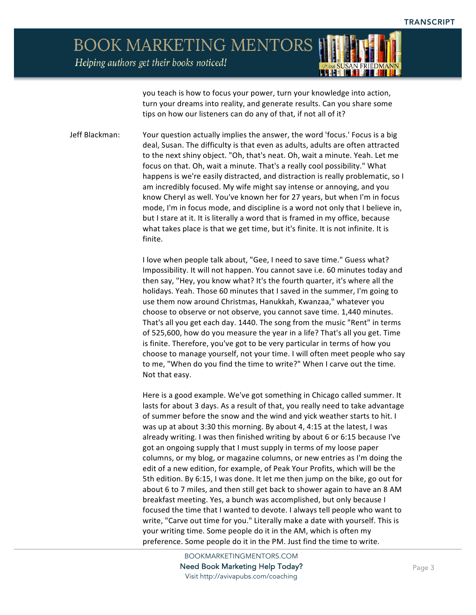

Helping authors get their books noticed!

you teach is how to focus your power, turn your knowledge into action, turn your dreams into reality, and generate results. Can you share some tips on how our listeners can do any of that, if not all of it?

Jeff Blackman: Your question actually implies the answer, the word 'focus.' Focus is a big deal, Susan. The difficulty is that even as adults, adults are often attracted to the next shiny object. "Oh, that's neat. Oh, wait a minute. Yeah. Let me focus on that. Oh, wait a minute. That's a really cool possibility." What happens is we're easily distracted, and distraction is really problematic, so I am incredibly focused. My wife might say intense or annoying, and you know Cheryl as well. You've known her for 27 years, but when I'm in focus mode, I'm in focus mode, and discipline is a word not only that I believe in, but I stare at it. It is literally a word that is framed in my office, because what takes place is that we get time, but it's finite. It is not infinite. It is finite.

> I love when people talk about, "Gee, I need to save time." Guess what? Impossibility. It will not happen. You cannot save i.e. 60 minutes today and then say, "Hey, you know what? It's the fourth quarter, it's where all the holidays. Yeah. Those 60 minutes that I saved in the summer, I'm going to use them now around Christmas, Hanukkah, Kwanzaa," whatever you choose to observe or not observe, you cannot save time. 1,440 minutes. That's all you get each day. 1440. The song from the music "Rent" in terms of 525,600, how do you measure the year in a life? That's all you get. Time is finite. Therefore, you've got to be very particular in terms of how you choose to manage yourself, not your time. I will often meet people who say to me, "When do you find the time to write?" When I carve out the time. Not that easy.

> Here is a good example. We've got something in Chicago called summer. It lasts for about 3 days. As a result of that, you really need to take advantage of summer before the snow and the wind and yick weather starts to hit. I was up at about 3:30 this morning. By about 4, 4:15 at the latest, I was already writing. I was then finished writing by about 6 or 6:15 because I've got an ongoing supply that I must supply in terms of my loose paper columns, or my blog, or magazine columns, or new entries as I'm doing the edit of a new edition, for example, of Peak Your Profits, which will be the 5th edition. By 6:15, I was done. It let me then jump on the bike, go out for about 6 to 7 miles, and then still get back to shower again to have an 8 AM breakfast meeting. Yes, a bunch was accomplished, but only because I focused the time that I wanted to devote. I always tell people who want to write, "Carve out time for you." Literally make a date with yourself. This is your writing time. Some people do it in the AM, which is often my preference. Some people do it in the PM. Just find the time to write.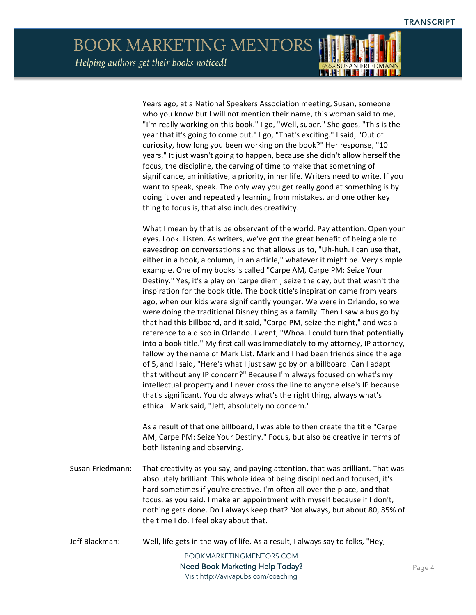Years ago, at a National Speakers Association meeting, Susan, someone who you know but I will not mention their name, this woman said to me,

"I'm really working on this book." I go, "Well, super." She goes, "This is the year that it's going to come out." I go, "That's exciting." I said, "Out of curiosity, how long you been working on the book?" Her response, "10 years." It just wasn't going to happen, because she didn't allow herself the focus, the discipline, the carving of time to make that something of significance, an initiative, a priority, in her life. Writers need to write. If you want to speak, speak. The only way you get really good at something is by doing it over and repeatedly learning from mistakes, and one other key thing to focus is, that also includes creativity.

What I mean by that is be observant of the world. Pay attention. Open your eyes. Look. Listen. As writers, we've got the great benefit of being able to eavesdrop on conversations and that allows us to, "Uh-huh. I can use that, either in a book, a column, in an article," whatever it might be. Very simple example. One of my books is called "Carpe AM, Carpe PM: Seize Your Destiny." Yes, it's a play on 'carpe diem', seize the day, but that wasn't the inspiration for the book title. The book title's inspiration came from years ago, when our kids were significantly younger. We were in Orlando, so we were doing the traditional Disney thing as a family. Then I saw a bus go by that had this billboard, and it said, "Carpe PM, seize the night," and was a reference to a disco in Orlando. I went, "Whoa. I could turn that potentially into a book title." My first call was immediately to my attorney, IP attorney, fellow by the name of Mark List. Mark and I had been friends since the age of 5, and I said, "Here's what I just saw go by on a billboard. Can I adapt that without any IP concern?" Because I'm always focused on what's my intellectual property and I never cross the line to anyone else's IP because that's significant. You do always what's the right thing, always what's ethical. Mark said, "Jeff, absolutely no concern."

As a result of that one billboard, I was able to then create the title "Carpe AM, Carpe PM: Seize Your Destiny." Focus, but also be creative in terms of both listening and observing.

Susan Friedmann: That creativity as you say, and paying attention, that was brilliant. That was absolutely brilliant. This whole idea of being disciplined and focused, it's hard sometimes if you're creative. I'm often all over the place, and that focus, as you said. I make an appointment with myself because if I don't, nothing gets done. Do I always keep that? Not always, but about 80, 85% of the time I do. I feel okay about that.

Jeff Blackman: Well, life gets in the way of life. As a result, I always say to folks, "Hey,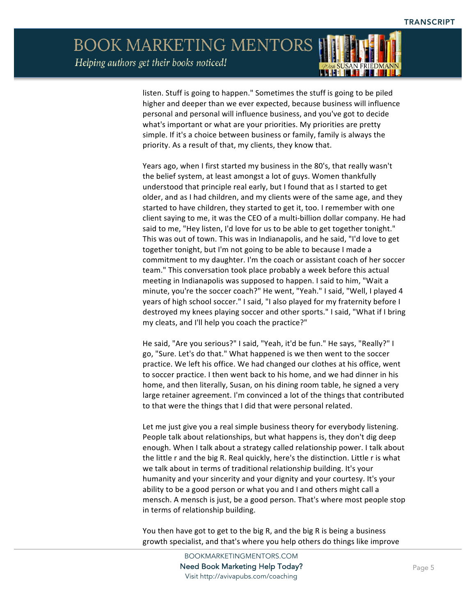Helping authors get their books noticed!



listen. Stuff is going to happen." Sometimes the stuff is going to be piled higher and deeper than we ever expected, because business will influence personal and personal will influence business, and you've got to decide what's important or what are your priorities. My priorities are pretty simple. If it's a choice between business or family, family is always the priority. As a result of that, my clients, they know that.

Years ago, when I first started my business in the 80's, that really wasn't the belief system, at least amongst a lot of guys. Women thankfully understood that principle real early, but I found that as I started to get older, and as I had children, and my clients were of the same age, and they started to have children, they started to get it, too. I remember with one client saying to me, it was the CEO of a multi-billion dollar company. He had said to me, "Hey listen, I'd love for us to be able to get together tonight." This was out of town. This was in Indianapolis, and he said, "I'd love to get together tonight, but I'm not going to be able to because I made a commitment to my daughter. I'm the coach or assistant coach of her soccer team." This conversation took place probably a week before this actual meeting in Indianapolis was supposed to happen. I said to him, "Wait a minute, you're the soccer coach?" He went, "Yeah." I said, "Well, I played 4 years of high school soccer." I said, "I also played for my fraternity before I destroyed my knees playing soccer and other sports." I said, "What if I bring my cleats, and I'll help you coach the practice?"

He said, "Are you serious?" I said, "Yeah, it'd be fun." He says, "Really?" I go, "Sure. Let's do that." What happened is we then went to the soccer practice. We left his office. We had changed our clothes at his office, went to soccer practice. I then went back to his home, and we had dinner in his home, and then literally, Susan, on his dining room table, he signed a very large retainer agreement. I'm convinced a lot of the things that contributed to that were the things that I did that were personal related.

Let me just give you a real simple business theory for everybody listening. People talk about relationships, but what happens is, they don't dig deep enough. When I talk about a strategy called relationship power. I talk about the little r and the big R. Real quickly, here's the distinction. Little r is what we talk about in terms of traditional relationship building. It's your humanity and your sincerity and your dignity and your courtesy. It's your ability to be a good person or what you and I and others might call a mensch. A mensch is just, be a good person. That's where most people stop in terms of relationship building.

You then have got to get to the big R, and the big R is being a business growth specialist, and that's where you help others do things like improve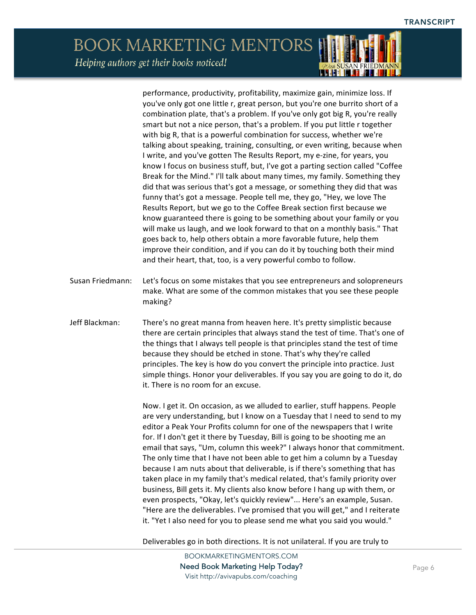**ALLE** 

## **BOOK MARKETING MENTORS** Helping authors get their books noticed!

performance, productivity, profitability, maximize gain, minimize loss. If you've only got one little r, great person, but you're one burrito short of a combination plate, that's a problem. If you've only got big R, you're really smart but not a nice person, that's a problem. If you put little r together with big R, that is a powerful combination for success, whether we're talking about speaking, training, consulting, or even writing, because when I write, and you've gotten The Results Report, my e-zine, for years, you know I focus on business stuff, but, I've got a parting section called "Coffee Break for the Mind." I'll talk about many times, my family. Something they did that was serious that's got a message, or something they did that was funny that's got a message. People tell me, they go, "Hey, we love The Results Report, but we go to the Coffee Break section first because we know guaranteed there is going to be something about your family or you will make us laugh, and we look forward to that on a monthly basis." That goes back to, help others obtain a more favorable future, help them improve their condition, and if you can do it by touching both their mind and their heart, that, too, is a very powerful combo to follow. Susan Friedmann: Let's focus on some mistakes that you see entrepreneurs and solopreneurs make. What are some of the common mistakes that you see these people making? Jeff Blackman: There's no great manna from heaven here. It's pretty simplistic because there are certain principles that always stand the test of time. That's one of the things that I always tell people is that principles stand the test of time because they should be etched in stone. That's why they're called principles. The key is how do you convert the principle into practice. Just simple things. Honor your deliverables. If you say you are going to do it, do it. There is no room for an excuse. Now. I get it. On occasion, as we alluded to earlier, stuff happens. People are very understanding, but I know on a Tuesday that I need to send to my editor a Peak Your Profits column for one of the newspapers that I write for. If I don't get it there by Tuesday, Bill is going to be shooting me an email that says, "Um, column this week?" I always honor that commitment. The only time that I have not been able to get him a column by a Tuesday because I am nuts about that deliverable, is if there's something that has taken place in my family that's medical related, that's family priority over business, Bill gets it. My clients also know before I hang up with them, or even prospects, "Okay, let's quickly review"... Here's an example, Susan. "Here are the deliverables. I've promised that you will get," and I reiterate it. "Yet I also need for you to please send me what you said you would."

Deliverables go in both directions. It is not unilateral. If you are truly to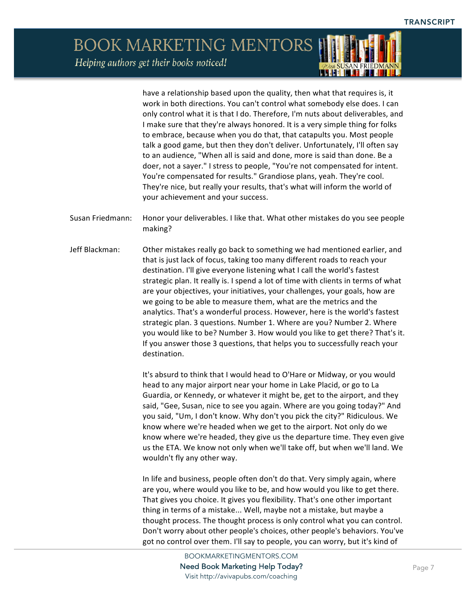have a relationship based upon the quality, then what that requires is, it work in both directions. You can't control what somebody else does. I can only control what it is that I do. Therefore, I'm nuts about deliverables, and I make sure that they're always honored. It is a very simple thing for folks to embrace, because when you do that, that catapults you. Most people talk a good game, but then they don't deliver. Unfortunately, I'll often say to an audience, "When all is said and done, more is said than done. Be a doer, not a sayer." I stress to people, "You're not compensated for intent. You're compensated for results." Grandiose plans, yeah. They're cool. They're nice, but really your results, that's what will inform the world of your achievement and your success.

**THEFT IN THE** 

- Susan Friedmann: Honor your deliverables. I like that. What other mistakes do you see people making?
- Jeff Blackman: Other mistakes really go back to something we had mentioned earlier, and that is just lack of focus, taking too many different roads to reach your destination. I'll give everyone listening what I call the world's fastest strategic plan. It really is. I spend a lot of time with clients in terms of what are your objectives, your initiatives, your challenges, your goals, how are we going to be able to measure them, what are the metrics and the analytics. That's a wonderful process. However, here is the world's fastest strategic plan. 3 questions. Number 1. Where are you? Number 2. Where you would like to be? Number 3. How would you like to get there? That's it. If you answer those 3 questions, that helps you to successfully reach your destination.

It's absurd to think that I would head to O'Hare or Midway, or you would head to any major airport near your home in Lake Placid, or go to La Guardia, or Kennedy, or whatever it might be, get to the airport, and they said, "Gee, Susan, nice to see you again. Where are you going today?" And you said, "Um, I don't know. Why don't you pick the city?" Ridiculous. We know where we're headed when we get to the airport. Not only do we know where we're headed, they give us the departure time. They even give us the ETA. We know not only when we'll take off, but when we'll land. We wouldn't fly any other way.

In life and business, people often don't do that. Very simply again, where are you, where would you like to be, and how would you like to get there. That gives you choice. It gives you flexibility. That's one other important thing in terms of a mistake... Well, maybe not a mistake, but maybe a thought process. The thought process is only control what you can control. Don't worry about other people's choices, other people's behaviors. You've got no control over them. I'll say to people, you can worry, but it's kind of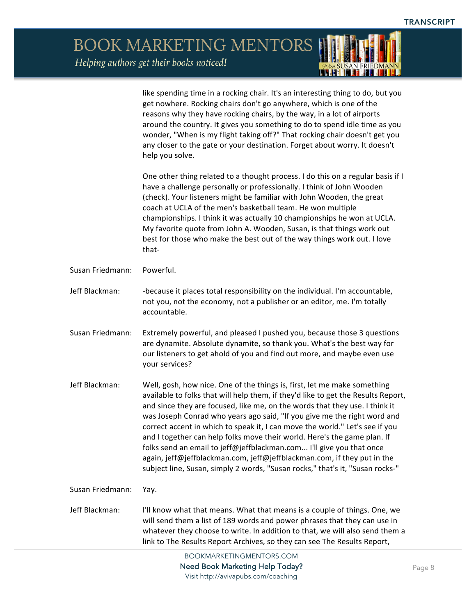*ODUA SUSAN FRIEDMANN* 

BOOK MARKETING MENTORS

Helping authors get their books noticed!

|                  | like spending time in a rocking chair. It's an interesting thing to do, but you<br>get nowhere. Rocking chairs don't go anywhere, which is one of the<br>reasons why they have rocking chairs, by the way, in a lot of airports<br>around the country. It gives you something to do to spend idle time as you<br>wonder, "When is my flight taking off?" That rocking chair doesn't get you<br>any closer to the gate or your destination. Forget about worry. It doesn't<br>help you solve.                                                                                                                                                                                                                             |
|------------------|--------------------------------------------------------------------------------------------------------------------------------------------------------------------------------------------------------------------------------------------------------------------------------------------------------------------------------------------------------------------------------------------------------------------------------------------------------------------------------------------------------------------------------------------------------------------------------------------------------------------------------------------------------------------------------------------------------------------------|
|                  | One other thing related to a thought process. I do this on a regular basis if I<br>have a challenge personally or professionally. I think of John Wooden<br>(check). Your listeners might be familiar with John Wooden, the great<br>coach at UCLA of the men's basketball team. He won multiple<br>championships. I think it was actually 10 championships he won at UCLA.<br>My favorite quote from John A. Wooden, Susan, is that things work out<br>best for those who make the best out of the way things work out. I love<br>that-                                                                                                                                                                                 |
| Susan Friedmann: | Powerful.                                                                                                                                                                                                                                                                                                                                                                                                                                                                                                                                                                                                                                                                                                                |
| Jeff Blackman:   | -because it places total responsibility on the individual. I'm accountable,<br>not you, not the economy, not a publisher or an editor, me. I'm totally<br>accountable.                                                                                                                                                                                                                                                                                                                                                                                                                                                                                                                                                   |
| Susan Friedmann: | Extremely powerful, and pleased I pushed you, because those 3 questions<br>are dynamite. Absolute dynamite, so thank you. What's the best way for<br>our listeners to get ahold of you and find out more, and maybe even use<br>your services?                                                                                                                                                                                                                                                                                                                                                                                                                                                                           |
| Jeff Blackman:   | Well, gosh, how nice. One of the things is, first, let me make something<br>available to folks that will help them, if they'd like to get the Results Report,<br>and since they are focused, like me, on the words that they use. I think it<br>was Joseph Conrad who years ago said, "If you give me the right word and<br>correct accent in which to speak it, I can move the world." Let's see if you<br>and I together can help folks move their world. Here's the game plan. If<br>folks send an email to jeff@jeffblackman.com I'll give you that once<br>again, jeff@jeffblackman.com, jeff@jeffblackman.com, if they put in the<br>subject line, Susan, simply 2 words, "Susan rocks," that's it, "Susan rocks-" |
| Susan Friedmann: | Yay.                                                                                                                                                                                                                                                                                                                                                                                                                                                                                                                                                                                                                                                                                                                     |
| Jeff Blackman:   | I'll know what that means. What that means is a couple of things. One, we<br>will send them a list of 189 words and power phrases that they can use in<br>whatever they choose to write. In addition to that, we will also send them a<br>link to The Results Report Archives, so they can see The Results Report,                                                                                                                                                                                                                                                                                                                                                                                                       |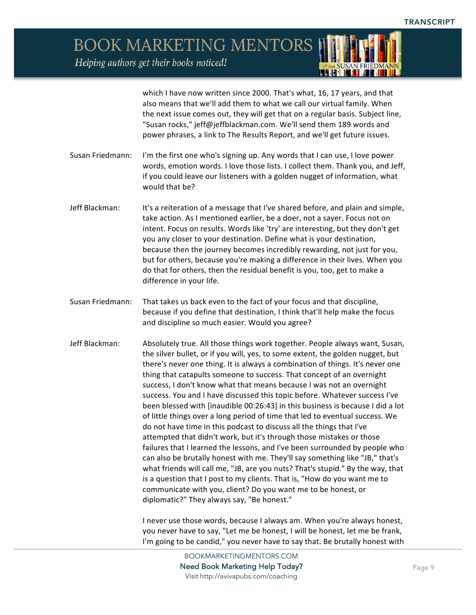Helping authors get their books noticed!



which I have now written since 2000. That's what, 16, 17 years, and that also means that we'll add them to what we call our virtual family. When the next issue comes out, they will get that on a regular basis. Subject line, "Susan rocks," jeff@jeffblackman.com. We'll send them 189 words and power phrases, a link to The Results Report, and we'll get future issues.

- Susan Friedmann: I'm the first one who's signing up. Any words that I can use, I love power words, emotion words. I love those lists. I collect them. Thank you, and Jeff, if you could leave our listeners with a golden nugget of information, what would that be?
- Jeff Blackman: It's a reiteration of a message that I've shared before, and plain and simple, take action. As I mentioned earlier, be a doer, not a sayer. Focus not on intent. Focus on results. Words like 'try' are interesting, but they don't get you any closer to your destination. Define what is your destination, because then the journey becomes incredibly rewarding, not just for you, but for others, because you're making a difference in their lives. When you do that for others, then the residual benefit is you, too, get to make a difference in your life.
- Susan Friedmann: That takes us back even to the fact of your focus and that discipline, because if you define that destination, I think that'll help make the focus and discipline so much easier. Would you agree?
- Jeff Blackman: Absolutely true. All those things work together. People always want, Susan, the silver bullet, or if you will, yes, to some extent, the golden nugget, but there's never one thing. It is always a combination of things. It's never one thing that catapults someone to success. That concept of an overnight success, I don't know what that means because I was not an overnight success. You and I have discussed this topic before. Whatever success I've been blessed with [inaudible 00:26:43] in this business is because I did a lot of little things over a long period of time that led to eventual success. We do not have time in this podcast to discuss all the things that I've attempted that didn't work, but it's through those mistakes or those failures that I learned the lessons, and I've been surrounded by people who can also be brutally honest with me. They'll say something like "JB," that's what friends will call me, "JB, are you nuts? That's stupid." By the way, that is a question that I post to my clients. That is, "How do you want me to communicate with you, client? Do you want me to be honest, or diplomatic?" They always say, "Be honest."

I never use those words, because I always am. When you're always honest, you never have to say, "Let me be honest, I will be honest, let me be frank, I'm going to be candid," you never have to say that. Be brutally honest with